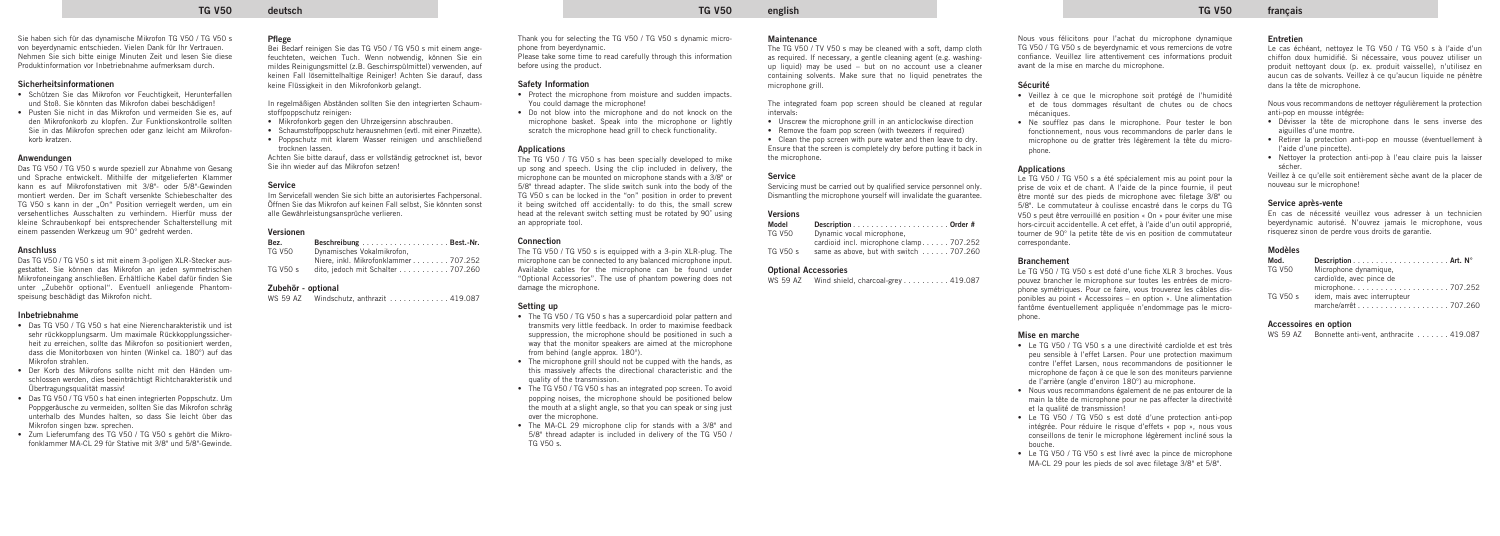### **TG V50 deutsch TG V50 english TG V50 français**

Sie haben sich für das dynamische Mikrofon TG V50 / TG V50 s von beyerdynamic entschieden. Vielen Dank für Ihr Vertrauen. Nehmen Sie sich bitte einige Minuten Zeit und lesen Sie diese Produktinformation vor Inbetriebnahme aufmerksam durch.

### **Sicherheitsinformationen**

- Schützen Sie das Mikrofon vor Feuchtigkeit, Herunterfallen und Stoß. Sie könnten das Mikrofon dabei beschädigen!
- Pusten Sie nicht in das Mikrofon und vermeiden Sie es, auf den Mikrofonkorb zu klopfen. Zur Funktionskontrolle sollten Sie in das Mikrofon sprechen oder ganz leicht am Mikrofonkorb kratzen.

### **Anwendungen**

Das TG V50 / TG V50 s wurde speziell zur Abnahme von Gesang und Sprache entwickelt. Mithilfe der mitgelieferten Klammer kann es auf Mikrofonstativen mit 3/8"- oder 5/8"-Gewinden montiert werden. Der im Schaft versenkte Schiebeschalter des TG V50 s kann in der "On" Position verriegelt werden, um ein versehentliches Ausschalten zu verhindern. Hierfür muss der kleine Schraubenkopf bei entsprechender Schalterstellung mit einem passenden Werkzeug um 90° gedreht werden.

### **Anschluss**

In regelmäßigen Abständen sollten Sie den integrierten Schaumstoffpoppschutz reinigen:

Das TG V50 / TG V50 s ist mit einem 3-poligen XLR-Stecker ausgestattet. Sie können das Mikrofon an jeden symmetrischen Mikrofoneingang anschließen. Erhältliche Kabel dafür finden Sie unter "Zubehör optional". Eventuell anliegende Phantomspeisung beschädigt das Mikrofon nicht.

### **Inbetriebnahme**

- Das TG V50 / TG V50 s hat eine Nierencharakteristik und ist sehr rückkopplungsarm. Um maximale Rückkopplungssicherheit zu erreichen, sollte das Mikrofon so positioniert werden, dass die Monitorboxen von hinten (Winkel ca. 180°) auf das Mikrofon strahlen.
- Der Korb des Mikrofons sollte nicht mit den Händen umschlossen werden, dies beeinträchtigt Richtcharakteristik und Übertragungsqualität massiv!
- Das TG V50 / TG V50 s hat einen integrierten Poppschutz. Um Poppgeräusche zu vermeiden, sollten Sie das Mikrofon schräg unterhalb des Mundes halten, so dass Sie leicht über das Mikrofon singen bzw. sprechen.
- Zum Lieferumfang des TG V50 / TG V50 s gehört die Mikrofonklammer MA-CL 29 für Stative mit 3/8" und 5/8"-Gewinde.

### **Pflege**

Bei Bedarf reinigen Sie das TG V50 / TG V50 s mit einem angefeuchteten, weichen Tuch. Wenn notwendig, können Sie ein mildes Reinigungsmittel (z.B. Geschirrspülmittel) verwenden, auf keinen Fall lösemittelhaltige Reiniger! Achten Sie darauf, dass keine Flüssigkeit in den Mikrofonkorb gelangt.

- Mikrofonkorb gegen den Uhrzeigersinn abschrauben.
- Schaumstoffpoppschutz herausnehmen (evtl. mit einer Pinzette).
- Poppschutz mit klarem Wasser reinigen und anschließend trocknen lassen.

- The TG V50 / TG V50 s has a supercardioid polar pattern and transmits very little feedback. In order to maximise feedback suppression, the microphone should be positioned in such a way that the monitor speakers are aimed at the microphone from behind (angle approx. 180°).
- The microphone grill should not be cupped with the hands, as this massively affects the directional characteristic and the quality of the transmission.
- The TG V50 / TG V50 s has an integrated pop screen. To avoid popping noises, the microphone should be positioned below the mouth at a slight angle, so that you can speak or sing just over the microphone.
- The MA-CL 29 microphone clip for stands with a 3/8" and 5/8" thread adapter is included in delivery of the TG V50 / TG V50 s.

Achten Sie bitte darauf, dass er vollständig getrocknet ist, bevor Sie ihn wieder auf das Mikrofon setzen!

- Unscrew the microphone grill in an anticlockwise direction
- Remove the foam pop screen (with tweezers if required)

### **Service**

Im Servicefall wenden Sie sich bitte an autorisiertes Fachpersonal. Öffnen Sie das Mikrofon auf keinen Fall selbst, Sie könnten sonst alle Gewährleistungsansprüche verlieren.

### **Versionen**

| Bez.     | Beschreibung Best.-Nr.               |  |
|----------|--------------------------------------|--|
| TG V50   | Dynamisches Vokalmikrofon.           |  |
|          | Niere, inkl. Mikrofonklammer 707.252 |  |
| TG V50 s | dito, jedoch mit Schalter 707.260    |  |

### **Zubehör - optional**

|  | WS 59 AZ |  |  | Windschutz, anthrazit $\ldots \ldots \ldots$ , 419.087 |  |
|--|----------|--|--|--------------------------------------------------------|--|
|--|----------|--|--|--------------------------------------------------------|--|

Thank you for selecting the TG V50 / TG V50 s dynamic microphone from beyerdynamic.

Please take some time to read carefully through this information before using the product.

### **Safety Information**

- Protect the microphone from moisture and sudden impacts. You could damage the microphone!
- Do not blow into the microphone and do not knock on the microphone basket. Speak into the microphone or lightly scratch the microphone head grill to check functionality.

### **Applications**

The TG V50 / TG V50 s has been specially developed to mike up song and speech. Using the clip included in delivery, the microphone can be mounted on microphone stands with a 3/8" or 5/8" thread adapter. The slide switch sunk into the body of the TG V50 s can be locked in the "on" position in order to prevent it being switched off accidentally: to do this, the small screw head at the relevant switch setting must be rotated by 90˚ using an appropriate tool.

### **Connection**

The TG V50 / TG V50 s is equipped with a 3-pin XLR-plug. The microphone can be connected to any balanced microphone input. Available cables for the microphone can be found under "Optional Accessories". The use of phantom powering does not damage the microphone.

### **Setting up**

### **Maintenance**

The TG V50 / TV V50 s may be cleaned with a soft, damp cloth as required. If necessary, a gentle cleaning agent (e.g. washingup liquid) may be used – but on no account use a cleaner containing solvents. Make sure that no liquid penetrates the microphone grill.

The integrated foam pop screen should be cleaned at regular intervals:

• Clean the pop screen with pure water and then leave to dry. Ensure that the screen is completely dry before putting it back in the microphone.

### **Service**

Servicing must be carried out by qualified service personnel only. Dismantling the microphone yourself will invalidate the guarantee.

### **Versions**

| Model                |                                         |
|----------------------|-----------------------------------------|
| <b>TG V50</b>        | Dynamic vocal microphone,               |
|                      | cardioid incl. microphone clamp 707.252 |
| TG V <sub>50</sub> s | same as above, but with switch 707.260  |

### **Optional Accessories**

|  | WS 59 AZ |  | Wind shield, charcoal-grey 419.087 |  |  |
|--|----------|--|------------------------------------|--|--|
|--|----------|--|------------------------------------|--|--|

### Nous vous félicitons pour l'achat du microphone dynamique TG V50 / TG V50 s de beyerdynamic et vous remercions de votre confiance. Veuillez lire attentivement ces informations produit avant de la mise en marche du microphone.

### **Sécurité**

- Veillez à ce que le microphone soit protégé de l'humidité et de tous dommages résultant de chutes ou de chocs mécaniques.
- Ne soufflez pas dans le microphone. Pour tester le bon fonctionnement, nous vous recommandons de parler dans le microphone ou de gratter très légèrement la tête du microphone.

### **Applications**

Le TG V50 / TG V50 s a été spécialement mis au point pour la prise de voix et de chant. A l'aide de la pince fournie, il peut être monté sur des pieds de microphone avec filetage 3/8" ou 5/8". Le commutateur à coulisse encastré dans le corps du TG V50 s peut être verrouillé en position « On » pour éviter une mise hors-circuit accidentelle. A cet effet, à l'aide d'un outil approprié, tourner de 90° la petite tête de vis en position de commutateur correspondante.

### **Branchement**

Le TG V50 / TG V50 s est doté d'une fiche XLR 3 broches. Vous pouvez brancher le microphone sur toutes les entrées de microphone symétriques. Pour ce faire, vous trouverez les câbles disponibles au point « Accessoires – en option ». Une alimentation fantôme éventuellement appliquée n'endommage pas le microphone.

### **Mise en marche**

- Le TG V50 / TG V50 s a une directivité cardioïde et est très peu sensible à l'effet Larsen. Pour une protection maximum contre l'effet Larsen, nous recommandons de positionner le microphone de façon à ce que le son des moniteurs parvienne de l'arrière (angle d'environ 180°) au microphone.
- Nous vous recommandons également de ne pas entourer de la main la tête de microphone pour ne pas affecter la directivité et la qualité de transmission!
- Le TG V50 / TG V50 s est doté d'une protection anti-pop intégrée. Pour réduire le risque d'effets « pop », nous vous conseillons de tenir le microphone légèrement incliné sous la bouche.
- Le TG V50 / TG V50 s est livré avec la pince de microphone MA-CL 29 pour les pieds de sol avec filetage 3/8" et 5/8".

### **Entretien**

Le cas échéant, nettoyez le TG V50 / TG V50 s à l'aide d'un chiffon doux humidifié. Si nécessaire, vous pouvez utiliser un produit nettoyant doux (p. ex. produit vaisselle), n'utilisez en aucun cas de solvants. Veillez à ce qu'aucun liquide ne pénètre dans la tête de microphone.

Nous vous recommandons de nettoyer régulièrement la protection anti-pop en mousse intégrée:

- Dévisser la tête de microphone dans le sens inverse des aiguilles d'une montre.
- Retirer la protection anti-pop en mousse (éventuellement à l'aide d'une pincette).
- Nettoyer la protection anti-pop à l'eau claire puis la laisser sécher.

Veillez à ce qu'elle soit entièrement sèche avant de la placer de nouveau sur le microphone!

### **Service après-vente**

En cas de nécessité veuillez vous adresser à un technicien beyerdynamic autorisé. N'ouvrez jamais le microphone, vous risquerez sinon de perdre vous droits de garantie.

### **Modèles**

| Mod.     |                              |  |
|----------|------------------------------|--|
| TG V50   | Microphone dynamique,        |  |
|          | cardioïde, avec pince de     |  |
|          |                              |  |
| TG V50 s | idem, mais avec interrupteur |  |
|          |                              |  |

### **Accessoires en option**

| WS 59 AZ | Bonnette anti-vent. anthracite  419.087 |  |
|----------|-----------------------------------------|--|
|----------|-----------------------------------------|--|